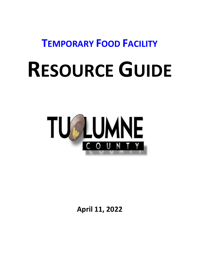**TEMPORARY FOOD FACILITY**

# **RESOURCE GUIDE**



**April 11, 2022**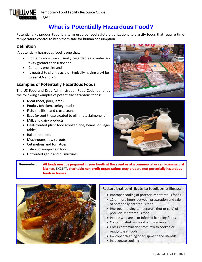

## **What is Potentially Hazardous Food?**

Potentially Hazardous Food is a term used by food safety organizations to classify foods that require timetemperature control to keep them safe for human consumption.

#### **Definition**

A potentially hazardous food is one that:

- Contains moisture usually regarded as a water activity greater than 0.85; and
- Contains protein; and
- Is neutral to slightly acidic typically having a pH between 4.6 and 7.5

#### **Examples of Potentially Hazardous Foods**

The US Food and Drug Administration Food Code identifies the following examples of potentially hazardous foods:

- Meat (beef, pork, lamb)
- Poultry (chicken, turkey, duck)
- Fish, shellfish, and crustaceans
- Eggs (except those treated to eliminate Salmonella)
- Milk and dairy products
- Heat-treated plant food (cooked rice, beans, or vegetables)
- Baked potatoes
- Mushrooms, raw sprouts,
- Cut melons and tomatoes
- Tofu and soy-protein foods
- Untreated garlic and oil mixtures





**Remember: All foods must be prepared in your booth at the event or at a commercial or semi-commercial kitchen, EXCEPT, charitable non-profit organizations may prepare non-potentially hazardous foods in homes.**



#### **Factors that contribute to foodborne illness**:

- Improper cooling of potentially hazardous foods
- 12 or more hours between preparation and sale of potentially hazardous food
- Improper holding temperature (hot or cold) of potentially hazardous food
- People who are ill or infected handling foods
- Contaminated raw food or ingredients
- Cross-contamination from raw to cooked or ready-to-eat foods
- Improper cleaning of equipment and utensils
- Inadequate cooking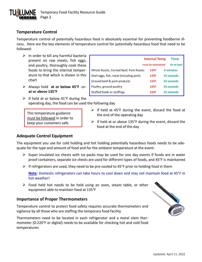

## **Temperature Control**

Temperature control of potentially hazardous food is absolutely essential for preventing foodborne illness. Here are the key elements of temperature control for potentially hazardous food that need to be followed:

- $\triangleright$  In order to kill any harmful bacteria present on raw meats, fish eggs, and poultry, thoroughly cook these foods to bring the internal temperature to that which is shown in this chart
- ➢ Always hold **at or below 45°F** -or**at or above 135°F**
- $\triangleright$  If held at or below 41°F during the operating day, the food can be used the following day

This temperature guidance must be followed in order to keep your customers safe.

|                                         | <b>Internal Temp</b> | Time         |
|-----------------------------------------|----------------------|--------------|
|                                         | must be maintained   | for at least |
| Whole Roasts, Corned Beef, Pork Roasts  | 145º                 | 3 minutes    |
| Shell eggs, fish, meat (including pork) | 145º                 | 15 seconds   |
| Ground beef & pork products             | 155º                 | 15 seconds   |
| Poultry, ground poultry                 | 165º                 | 15 seconds   |
| Stuffed foods or stuffings              | 165º                 | 15 seconds   |

- $\triangleright$  If held at 45°F during the event, discard the food at the end of the operating day
- $\triangleright$  If held at or above 135°F during the event, discard the food at the end of the day

#### **Adequate Control Equipment**

The equipment you use for cold holding and hot holding potentially hazardous foods needs to be adequate for the type and amount of food and for the ambient temperature at the event.

- $\triangleright$  Super insulated ice chests with ice packs may be used for one day events if foods are in water proof containers, separate ice chests are used for different types of foods, and 45°F is maintained
- ➢ If refrigerators are used, they need to be pre-cooled to 45°F prior to holding food in them

**Note**: Domestic refrigerators can take hours to cool down and may not maintain food at 45°F in hot weather!

 $\triangleright$  Food held hot needs to be held using an oven, steam table, or other equipment able to maintain food at 135°F

#### **Importance of Proper Thermometers**

Temperature control to protect food safety requires accurate thermometers and vigilance by all those who are staffing the temporary food facility

Thermometers need to be located in each refrigerator and a metal stem thermometer (0-220°F or digital) needs to be available for checking hot and cold food temperatures

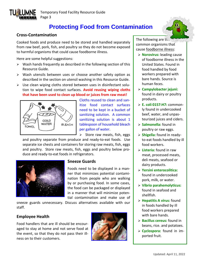

# **Protecting Food from Contamination**

#### **Cross-Contamination**

Cooked foods and produce need to be stored and handled separately from raw beef, pork, fish, and poultry so they do not become exposed to harmful organisms that could cause foodborne illness.

Here are some helpful suggestions:

- $\triangleright$  Wash hands frequently as described in the following section of this Resource Guide.
- ➢ Wash utensils between uses or choose another safety option as described in the section on utensil washing in this Resource Guide.
- $\triangleright$  Use clean wiping cloths stored between uses in disinfectant solution to wipe food contact surfaces. **Avoid reusing wiping cloths that have been used to clean up blood or juices from raw meat!**



Cloths reused to clean and sanitize food contact surfaces need to be kept in a bucket of sanitizing solution. A common sanitizing solution is about 1 tablespoon of household bleach per gallon of water.

 $\triangleright$  Store raw meats, fish, eggs

and poultry separate from produce and ready-to-eat foods. Use separate ice chests and containers for storing raw meats, fish, eggs and poultry. Store raw meats, fish, eggs and poultry below produce and ready-to-eat foods in refrigerators.



#### **Sneeze Guards**

Foods need to be displayed in a manner that minimizes potential contamination from people who are walking by or purchasing food. In some cases, the food can be packaged or displayed in a manner that will minimize potential contamination and make use of

sneeze guards unnecessary. Discuss alternatives available with our staff.

#### **Employee Health**

Food handlers that are ill should be encouraged to stay at home and not serve food at the event, so that they do not pass their illness on to their customers.



The following are the common organisms that cause foodborne illness:

- ➢ **Norovirus:** leading cause of foodborne illness in the United States. Found in food handled by food workers prepared with bare hands. Source is human feces.
- ➢ **Campylobacter jejuni:** found in dairy or poultry products.
- ➢ **E. coli 0157:H7:** commonly found in undercooked beef, water, and unpasteurized juices and ciders.
- ➢ **Salmonella:** found in poultry or raw eggs.
- ➢ **Shigella:** found in readyto-eat foods handled by ill food workers.
- ➢ **Listeria:** found in raw meat, processed meats, deli meats, seafood or dairy products.
- ➢ **Yersini enterocolitica:** found in undercooked pork, milk, or water.
- ➢ **Vibrio parahemolyticus:** found in seafood and shellfish.
- ➢ **Hepatitis A virus:** found in foods handled by ill food workers prepared with bare hands.
- ➢ **Bacillus cereus:** found in beans, rice. and potatoes.
- ➢ **Cyclospora:** found in imported fruit.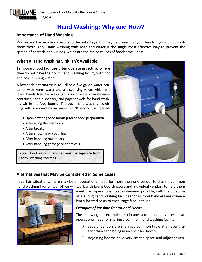

Temporary Food Facility Resource Guide Page 4

# **Hand Washing: Why and How?**

#### **Importance of Hand Washing**

Viruses and bacteria are invisible to the naked eye, but may be present on your hands if you do not wash them thoroughly. Hand washing with soap and water is the single most effective way to prevent the spread of bacteria and viruses, which are the major causes of foodborne illness.

## **When a Hand Washing Sink Isn't Available**

Temporary food facilities often operate in settings where they do not have their own hand washing facility with hot and cold running water.

A low tech alternative is to utilize a five-gallon water container with warm water and a dispensing valve, which will leave hands free for washing. Also provide a wastewater container, soap dispenser, and paper towels for hand washing within the food booth. Thorough hand washing (scrubbing with soap and warm water for 20 seconds) is needed:

- Upon entering food booth prior to food preparation
- After using the restroom
- After breaks
- After sneezing or coughing
- After handling raw meats
- After handling garbage or chemicals

Note: Hand washing facilities must be separate from utensil washing facilities.



## **Alternatives that May be Considered in Some Cases**

In certain situations, there may be an operational need for more than one vendor to share a common hand washing facility. Our office will work with Event Coordinators and individual vendors to help them



meet their operational needs whenever possible, with the objective of assuring hand washing facilities for all food handlers are conveniently located so as to encourage frequent use.

#### *Examples of Possible Operational Needs*

The following are examples of circumstances that may present an operational need for sharing a common hand washing facility:

- $\triangleright$  Several vendors are sharing a common table at an event rather than each being in an enclosed booth
- $\triangleright$  Adjoining booths have very limited space and adjacent ven-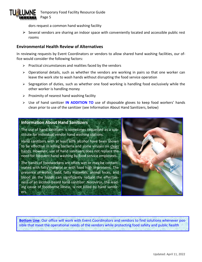

dors request a common hand washing facility

 $\triangleright$  Several vendors are sharing an indoor space with conveniently located and accessible public rest rooms

#### **Environmental Health Review of Alternatives**

In reviewing requests by Event Coordinators or vendors to allow shared hand washing facilities, our office would consider the following factors:

- $\triangleright$  Practical circumstances and realities faced by the vendors
- $\triangleright$  Operational details, such as whether the vendors are working in pairs so that one worker can leave the work site to wash hands without disrupting the food service operation
- $\triangleright$  Segregation of duties, such as whether one food working is handling food exclusively while the other worker is handling money
- $\triangleright$  Proximity of nearest hand washing facility
- ➢ Use of hand sanitizer **IN ADDITION TO** use of disposable gloves to keep food workers' hands clean prior to use of the sanitizer (see Information About Hand Sanitizers, below)

#### **Information About Hand Sanitizers**

The use of hand sanitizers is sometimes requested as a substitute for individual vendor hand washing stations.

Hand sanitizers with at least 60% alcohol have been shown to be effective in killing bacteria and some viruses on clean hands. However, use of hand sanitizers does not replace the need for frequent hand washing by food service employees.

The hands of foodworkers are often wet or may be contaminated with fatty material or with food high in proteins. The presence of water, food, fatty materials, animal feces, and blood on the hands can significantly reduce the effectiveness of an alcohol-based hand sanitizer. Norovirus, the leading cause of foodborne illness, is not killed by hand sanitizers.



**Bottom Line**: Our office will work with Event Coordinators and vendors to find solutions whenever possible that meet the operational needs of the vendors while protecting food safety and public health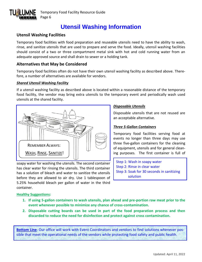

# **Utensil Washing Information**

## **Utensil Washing Facilities**

Temporary food facilities with food preparation and reuseable utensils need to have the ability to wash, rinse, and sanitize utensils that are used to prepare and serve the food. Ideally, utensil washing facilities should consist of a two or three compartment metal sink with hot and cold running water from an adequate approved source and shall drain to sewer or a holding tank.

#### **Alternatives that May be Considered**

Temporary food facilities often do not have their own utensil washing facility as described above. Therefore, a number of alternatives are available for vendors.

#### *Shared Utensil Washing Facility*

If a utensil washing facility as described above is located within a reasonable distance of the temporary food facility, the vendor may bring extra utensils to the temporary event and periodically wash used utensils at the shared facility.



soapy water for washing the utensils. The second container has clear water for rinsing the utensils. The third container has a solution of bleach and water to sanitize the utensils before they are allowed to air dry. Use 1 tablespoon of 5.25% household bleach per gallon of water in the third container.

#### *Disposable Utensils*

Step 4: Air dry

Disposable utensils that are not reused are an acceptable alternative.

#### *Three 5-Gallon Containers*

Temporary food facilities serving food at events no longer than three days may use three five-gallon containers for the cleaning of equipment, utensils and for general cleaning purposes. The first container is full of

Step 1: Wash in soapy water Step 2: Rinse in clear water Step 3: Soak for 30 seconds in sanitizing solution

#### **Healthy Suggestions:**

- **1. If using 5-gallon containers to wash utensils, plan ahead and pre-portion raw meat prior to the event whenever possible to minimize any chance of cross-contamination.**
- **2. Disposable cutting boards can be used in part of the food preparation process and then discarded to reduce the need for disinfection and protect against cross contamination.**

**Bottom Line**: Our office will work with Event Coordinators and vendors to find solutions whenever possible that meet the operational needs of the vendors while protecting food safety and public health.